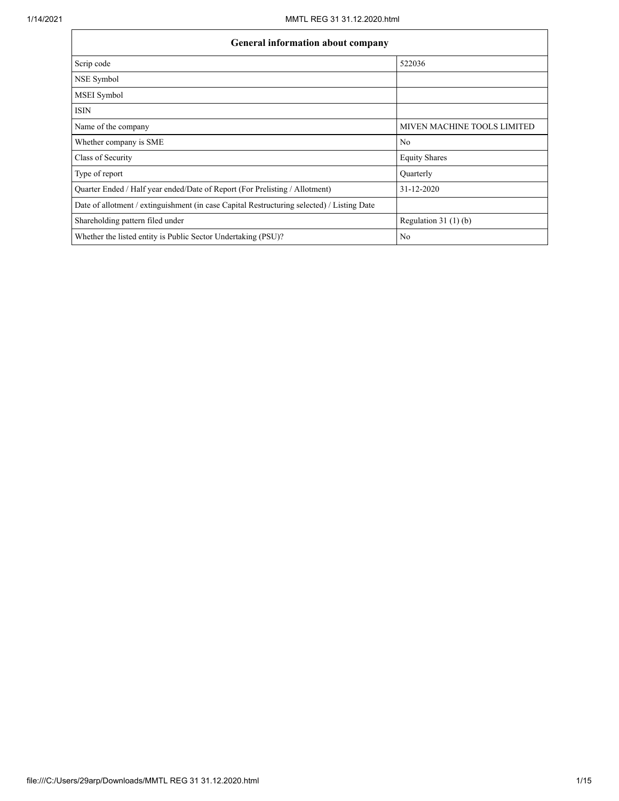| <b>General information about company</b>                                                   |                             |  |  |  |  |  |
|--------------------------------------------------------------------------------------------|-----------------------------|--|--|--|--|--|
| Scrip code                                                                                 | 522036                      |  |  |  |  |  |
| NSE Symbol                                                                                 |                             |  |  |  |  |  |
| MSEI Symbol                                                                                |                             |  |  |  |  |  |
| <b>ISIN</b>                                                                                |                             |  |  |  |  |  |
| Name of the company                                                                        | MIVEN MACHINE TOOLS LIMITED |  |  |  |  |  |
| Whether company is SME                                                                     | No                          |  |  |  |  |  |
| Class of Security                                                                          | <b>Equity Shares</b>        |  |  |  |  |  |
| Type of report                                                                             | Quarterly                   |  |  |  |  |  |
| Quarter Ended / Half year ended/Date of Report (For Prelisting / Allotment)                | 31-12-2020                  |  |  |  |  |  |
| Date of allotment / extinguishment (in case Capital Restructuring selected) / Listing Date |                             |  |  |  |  |  |
| Shareholding pattern filed under                                                           | Regulation $31(1)(b)$       |  |  |  |  |  |
| Whether the listed entity is Public Sector Undertaking (PSU)?                              | No                          |  |  |  |  |  |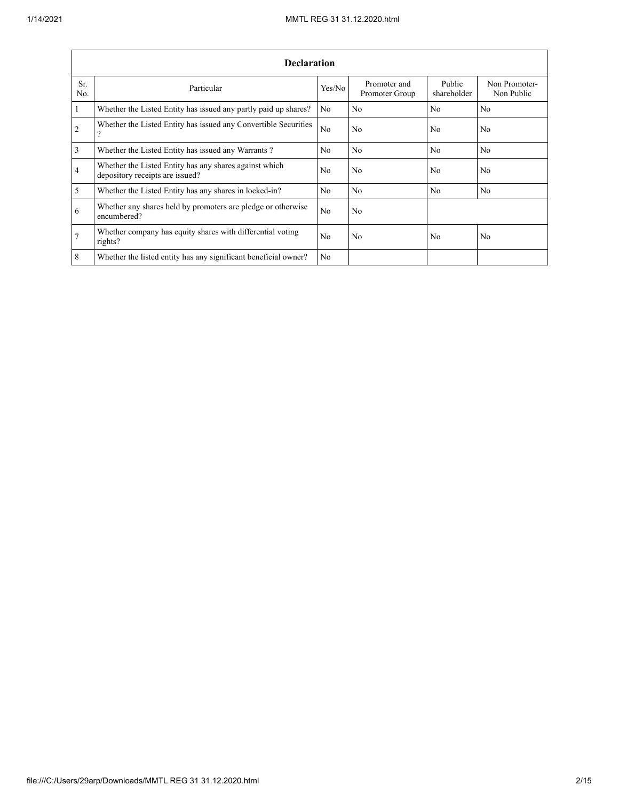|                 | <b>Declaration</b>                                                                        |        |                                |                       |                             |  |  |  |  |  |
|-----------------|-------------------------------------------------------------------------------------------|--------|--------------------------------|-----------------------|-----------------------------|--|--|--|--|--|
| Sr.<br>No.      | Particular                                                                                | Yes/No | Promoter and<br>Promoter Group | Public<br>shareholder | Non Promoter-<br>Non Public |  |  |  |  |  |
| $\overline{1}$  | Whether the Listed Entity has issued any partly paid up shares?                           | No     | N <sub>0</sub>                 | No                    | N <sub>0</sub>              |  |  |  |  |  |
| $\overline{2}$  | Whether the Listed Entity has issued any Convertible Securities<br>$\mathcal{D}$          | No     | No                             | No.                   | N <sub>0</sub>              |  |  |  |  |  |
| $\overline{3}$  | Whether the Listed Entity has issued any Warrants?                                        | No.    | No                             | N <sub>0</sub>        | N <sub>0</sub>              |  |  |  |  |  |
| $\overline{4}$  | Whether the Listed Entity has any shares against which<br>depository receipts are issued? | No     | No                             | No                    | No                          |  |  |  |  |  |
| $\overline{5}$  | Whether the Listed Entity has any shares in locked-in?                                    | No     | No                             | No                    | No                          |  |  |  |  |  |
| 6               | Whether any shares held by promoters are pledge or otherwise<br>encumbered?               | No     | No                             |                       |                             |  |  |  |  |  |
| $7\overline{ }$ | Whether company has equity shares with differential voting<br>rights?                     | No.    | N <sub>0</sub>                 | No                    | No                          |  |  |  |  |  |
| 8               | Whether the listed entity has any significant beneficial owner?                           | No     |                                |                       |                             |  |  |  |  |  |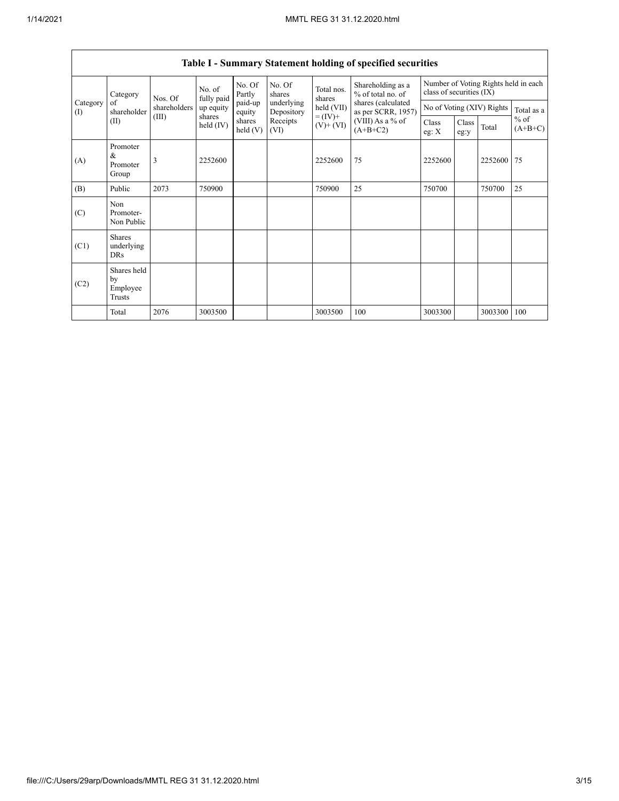| Category<br>of<br>(I) | Category                                | Nos. Of                                                                                                                          | No. of<br>fully paid | No. Of<br>Partly  | No. Of<br>shares         | Total nos.<br>shares | Shareholding as a<br>% of total no. of<br>shares (calculated<br>as per SCRR, 1957) | Number of Voting Rights held in each<br>class of securities (IX) |  |         |            |
|-----------------------|-----------------------------------------|----------------------------------------------------------------------------------------------------------------------------------|----------------------|-------------------|--------------------------|----------------------|------------------------------------------------------------------------------------|------------------------------------------------------------------|--|---------|------------|
|                       | shareholder                             | shareholders                                                                                                                     | up equity<br>shares  | paid-up<br>equity | underlying<br>Depository | held (VII)           |                                                                                    | No of Voting (XIV) Rights                                        |  |         | Total as a |
|                       | (II)                                    | $= (IV) +$<br>(III)<br>(VIII) As a % of<br>Receipts<br>shares<br>held (IV)<br>$(V)$ + $(VI)$<br>$(A+B+C2)$<br>held $(V)$<br>(VI) |                      | Class<br>eg: $X$  | Class<br>eg:y            | Total                | $%$ of<br>$(A+B+C)$                                                                |                                                                  |  |         |            |
| (A)                   | Promoter<br>&<br>Promoter<br>Group      | 3                                                                                                                                | 2252600              |                   |                          | 2252600              | 75                                                                                 | 2252600                                                          |  | 2252600 | 75         |
| (B)                   | Public                                  | 2073                                                                                                                             | 750900               |                   |                          | 750900               | 25                                                                                 | 750700                                                           |  | 750700  | 25         |
| (C)                   | Non<br>Promoter-<br>Non Public          |                                                                                                                                  |                      |                   |                          |                      |                                                                                    |                                                                  |  |         |            |
| (C1)                  | <b>Shares</b><br>underlying<br>DRs      |                                                                                                                                  |                      |                   |                          |                      |                                                                                    |                                                                  |  |         |            |
| (C2)                  | Shares held<br>by<br>Employee<br>Trusts |                                                                                                                                  |                      |                   |                          |                      |                                                                                    |                                                                  |  |         |            |
|                       | Total                                   | 2076                                                                                                                             | 3003500              |                   |                          | 3003500              | 100                                                                                | 3003300                                                          |  | 3003300 | 100        |

## **Table I - Summary Statement holding of specified securities**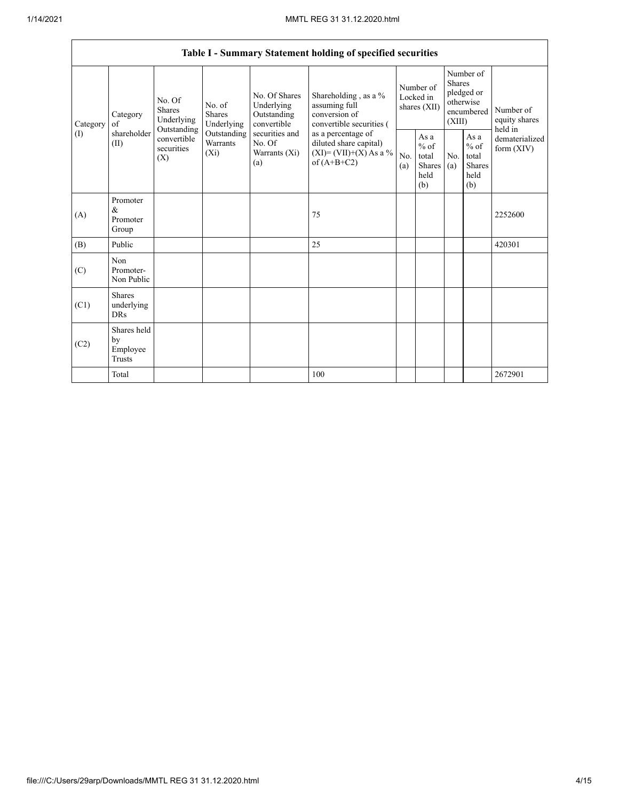|          | Table I - Summary Statement holding of specified securities |                                                                                                                                                                                                                                                                                                                                                                                                                                                              |            |                                                   |            |                                                         |                                        |  |                                                                               |                                       |
|----------|-------------------------------------------------------------|--------------------------------------------------------------------------------------------------------------------------------------------------------------------------------------------------------------------------------------------------------------------------------------------------------------------------------------------------------------------------------------------------------------------------------------------------------------|------------|---------------------------------------------------|------------|---------------------------------------------------------|----------------------------------------|--|-------------------------------------------------------------------------------|---------------------------------------|
| Category | Category<br>of                                              | No. Of Shares<br>Shareholding, as a %<br>No. Of<br>Underlying<br>assuming full<br>No. of<br>Shares<br>conversion of<br>Shares<br>Outstanding<br>Underlying<br>Underlying<br>convertible<br>convertible securities (<br>Outstanding<br>securities and<br>Outstanding<br>as a percentage of<br>convertible<br>Warrants<br>No. Of<br>diluted share capital)<br>securities<br>$(X_i)$<br>Warrants (Xi)<br>$(XI)=(VII)+(X) As a %$<br>(X)<br>of $(A+B+C2)$<br>(a) |            |                                                   |            |                                                         | Number of<br>Locked in<br>shares (XII) |  | Number of<br><b>Shares</b><br>pledged or<br>otherwise<br>encumbered<br>(XIII) | Number of<br>equity shares<br>held in |
| (1)      | shareholder<br>(II)                                         |                                                                                                                                                                                                                                                                                                                                                                                                                                                              | No.<br>(a) | As a<br>$\%$ of<br>total<br>Shares<br>held<br>(b) | No.<br>(a) | As a<br>$%$ of<br>total<br><b>Shares</b><br>held<br>(b) | dematerialized<br>form (XIV)           |  |                                                                               |                                       |
| (A)      | Promoter<br>&<br>Promoter<br>Group                          |                                                                                                                                                                                                                                                                                                                                                                                                                                                              |            |                                                   | 75         |                                                         |                                        |  |                                                                               | 2252600                               |
| (B)      | Public                                                      |                                                                                                                                                                                                                                                                                                                                                                                                                                                              |            |                                                   | 25         |                                                         |                                        |  |                                                                               | 420301                                |
| (C)      | Non<br>Promoter-<br>Non Public                              |                                                                                                                                                                                                                                                                                                                                                                                                                                                              |            |                                                   |            |                                                         |                                        |  |                                                                               |                                       |
| (C1)     | <b>Shares</b><br>underlying<br><b>DRs</b>                   |                                                                                                                                                                                                                                                                                                                                                                                                                                                              |            |                                                   |            |                                                         |                                        |  |                                                                               |                                       |
| (C2)     | Shares held<br>by<br>Employee<br>Trusts                     |                                                                                                                                                                                                                                                                                                                                                                                                                                                              |            |                                                   |            |                                                         |                                        |  |                                                                               |                                       |
|          | Total                                                       |                                                                                                                                                                                                                                                                                                                                                                                                                                                              |            |                                                   | 100        |                                                         |                                        |  |                                                                               | 2672901                               |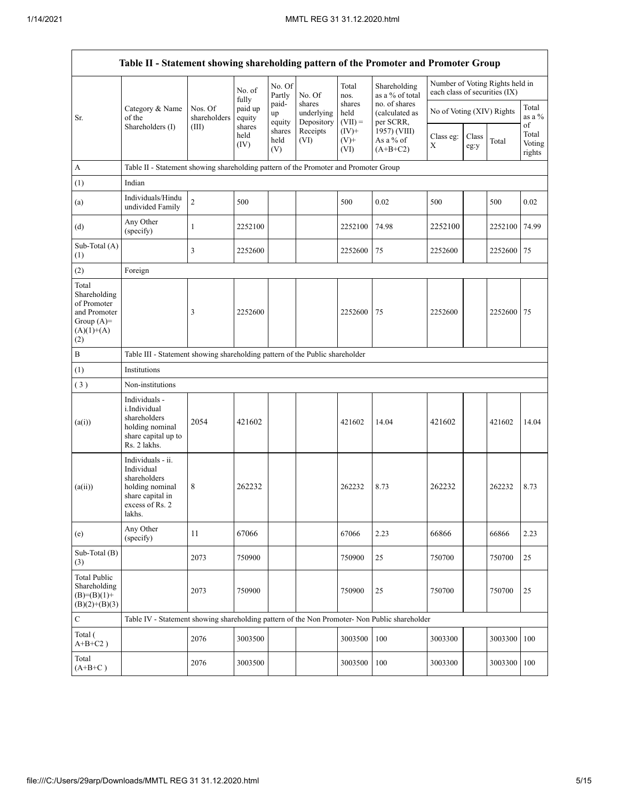$\overline{\phantom{a}}$ 

| Table II - Statement showing shareholding pattern of the Promoter and Promoter Group        |                                                                                                                     |                                                                                      |                        |                       |                                    |                             |                                              |                               |               |                                 |                                 |  |
|---------------------------------------------------------------------------------------------|---------------------------------------------------------------------------------------------------------------------|--------------------------------------------------------------------------------------|------------------------|-----------------------|------------------------------------|-----------------------------|----------------------------------------------|-------------------------------|---------------|---------------------------------|---------------------------------|--|
|                                                                                             |                                                                                                                     |                                                                                      | No. of<br>fully        | No. Of<br>Partly      | No. Of                             | Total<br>nos.               | Shareholding<br>as a % of total              | each class of securities (IX) |               | Number of Voting Rights held in |                                 |  |
| Sr.                                                                                         | Category & Name<br>of the                                                                                           | Nos. Of<br>shareholders                                                              | paid up<br>equity      | paid-<br>up<br>equity | shares<br>underlying<br>Depository | shares<br>held<br>$(VII) =$ | no. of shares<br>(calculated as<br>per SCRR, | No of Voting (XIV) Rights     |               |                                 | Total<br>as a %                 |  |
|                                                                                             | Shareholders (I)                                                                                                    | (III)                                                                                | shares<br>held<br>(IV) | shares<br>held<br>(V) | Receipts<br>(VI)                   | $(IV)+$<br>$(V)$ +<br>(VI)  | 1957) (VIII)<br>As a % of<br>$(A+B+C2)$      | Class eg:<br>X                | Class<br>eg:y | Total                           | of<br>Total<br>Voting<br>rights |  |
| A                                                                                           |                                                                                                                     | Table II - Statement showing shareholding pattern of the Promoter and Promoter Group |                        |                       |                                    |                             |                                              |                               |               |                                 |                                 |  |
| (1)                                                                                         | Indian                                                                                                              |                                                                                      |                        |                       |                                    |                             |                                              |                               |               |                                 |                                 |  |
| (a)                                                                                         | Individuals/Hindu<br>undivided Family                                                                               | $\sqrt{2}$                                                                           | 500                    |                       |                                    | 500                         | 0.02                                         | 500                           |               | 500                             | 0.02                            |  |
| (d)                                                                                         | Any Other<br>(specify)                                                                                              | $\mathbf{1}$                                                                         | 2252100                |                       |                                    | 2252100                     | 74.98                                        | 2252100                       |               | 2252100                         | 74.99                           |  |
| Sub-Total (A)<br>(1)                                                                        |                                                                                                                     | 3                                                                                    | 2252600                |                       |                                    | 2252600                     | 75                                           | 2252600                       |               | 2252600                         | 75                              |  |
| (2)                                                                                         | Foreign                                                                                                             |                                                                                      |                        |                       |                                    |                             |                                              |                               |               |                                 |                                 |  |
| Total<br>Shareholding<br>of Promoter<br>and Promoter<br>Group $(A)=$<br>$(A)(1)+(A)$<br>(2) |                                                                                                                     | 3                                                                                    | 2252600                |                       |                                    | 2252600                     | 75                                           | 2252600                       |               | 2252600                         | 75                              |  |
| $\, {\bf B}$                                                                                | Table III - Statement showing shareholding pattern of the Public shareholder                                        |                                                                                      |                        |                       |                                    |                             |                                              |                               |               |                                 |                                 |  |
| (1)                                                                                         | Institutions                                                                                                        |                                                                                      |                        |                       |                                    |                             |                                              |                               |               |                                 |                                 |  |
| (3)                                                                                         | Non-institutions                                                                                                    |                                                                                      |                        |                       |                                    |                             |                                              |                               |               |                                 |                                 |  |
| (a(i))                                                                                      | Individuals -<br>i.Individual<br>shareholders<br>holding nominal<br>share capital up to<br>Rs. 2 lakhs.             | 2054                                                                                 | 421602                 |                       |                                    | 421602                      | 14.04                                        | 421602                        |               | 421602                          | 14.04                           |  |
| (a(ii))                                                                                     | Individuals - ii.<br>Individual<br>shareholders<br>holding nominal<br>share capital in<br>excess of Rs. 2<br>lakhs. | 8                                                                                    | 262232                 |                       |                                    | 262232                      | 8.73                                         | 262232                        |               | 262232                          | 8.73                            |  |
| (e)                                                                                         | Any Other<br>(specify)                                                                                              | 11                                                                                   | 67066                  |                       |                                    | 67066                       | 2.23                                         | 66866                         |               | 66866                           | 2.23                            |  |
| Sub-Total (B)<br>(3)                                                                        |                                                                                                                     | 2073                                                                                 | 750900                 |                       |                                    | 750900                      | 25                                           | 750700                        |               | 750700                          | 25                              |  |
| <b>Total Public</b><br>Shareholding<br>$(B)=(B)(1)+$<br>$(B)(2)+(B)(3)$                     |                                                                                                                     | 2073                                                                                 | 750900                 |                       |                                    | 750900                      | 25                                           | 750700                        |               | 750700                          | 25                              |  |
| ${\bf C}$                                                                                   | Table IV - Statement showing shareholding pattern of the Non Promoter- Non Public shareholder                       |                                                                                      |                        |                       |                                    |                             |                                              |                               |               |                                 |                                 |  |
| Total (<br>$A+B+C2$ )                                                                       |                                                                                                                     | 2076                                                                                 | 3003500                |                       |                                    | 3003500                     | 100                                          | 3003300                       |               | 3003300                         | 100                             |  |
| Total<br>$(A+B+C)$                                                                          |                                                                                                                     | 2076                                                                                 | 3003500                |                       |                                    | 3003500                     | 100                                          | 3003300                       |               | 3003300                         | 100                             |  |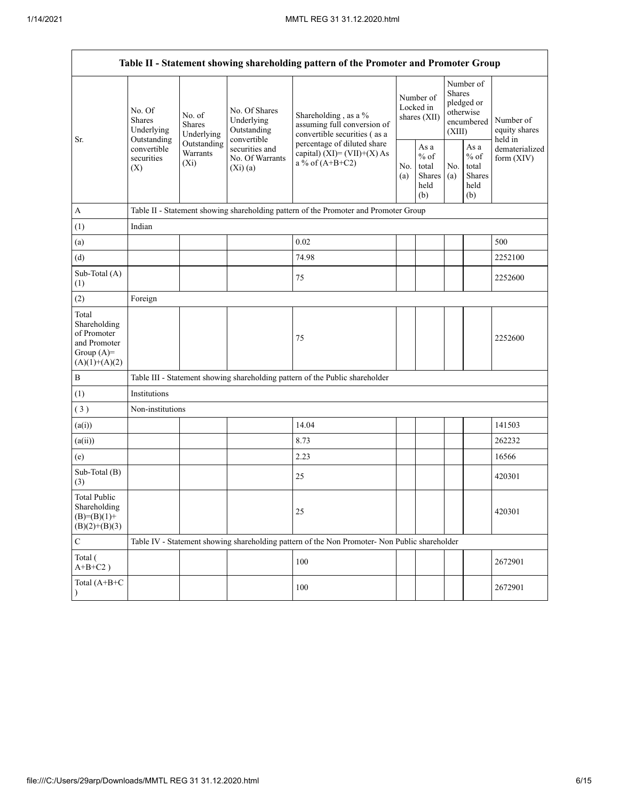|                                                                                         | Table II - Statement showing shareholding pattern of the Promoter and Promoter Group                                                                             |                                                           |                                                                                     |                                                                                               |                                                   |                                                                               |                                                  |                                       |         |  |
|-----------------------------------------------------------------------------------------|------------------------------------------------------------------------------------------------------------------------------------------------------------------|-----------------------------------------------------------|-------------------------------------------------------------------------------------|-----------------------------------------------------------------------------------------------|---------------------------------------------------|-------------------------------------------------------------------------------|--------------------------------------------------|---------------------------------------|---------|--|
| Sr.                                                                                     | No. Of<br>No. of<br>Shares<br><b>Shares</b><br>Underlying<br>Underlying<br>Outstanding<br>Outstanding<br>convertible<br>Warrants<br>securities<br>$(X_i)$<br>(X) | No. Of Shares<br>Underlying<br>Outstanding<br>convertible | Shareholding, as a %<br>assuming full conversion of<br>convertible securities (as a | Number of<br>Locked in<br>shares (XII)                                                        |                                                   | Number of<br><b>Shares</b><br>pledged or<br>otherwise<br>encumbered<br>(XIII) |                                                  | Number of<br>equity shares<br>held in |         |  |
|                                                                                         |                                                                                                                                                                  | securities and<br>No. Of Warrants<br>(Xi)(a)              | percentage of diluted share<br>capital) $(XI) = (VII)+(X) As$<br>a % of $(A+B+C2)$  |                                                                                               | As a<br>$\%$ of<br>total<br>Shares<br>held<br>(b) | No.<br>(a)                                                                    | As a<br>$%$ of<br>total<br>Shares<br>held<br>(b) | dematerialized<br>form $(XIV)$        |         |  |
| $\mathbf{A}$                                                                            |                                                                                                                                                                  |                                                           |                                                                                     | Table II - Statement showing shareholding pattern of the Promoter and Promoter Group          |                                                   |                                                                               |                                                  |                                       |         |  |
| (1)                                                                                     | Indian                                                                                                                                                           |                                                           |                                                                                     |                                                                                               |                                                   |                                                                               |                                                  |                                       |         |  |
| (a)                                                                                     |                                                                                                                                                                  |                                                           |                                                                                     | 0.02                                                                                          |                                                   |                                                                               |                                                  |                                       | 500     |  |
| (d)                                                                                     |                                                                                                                                                                  |                                                           |                                                                                     | 74.98                                                                                         |                                                   |                                                                               |                                                  |                                       | 2252100 |  |
| Sub-Total (A)<br>(1)                                                                    |                                                                                                                                                                  |                                                           |                                                                                     | 75                                                                                            |                                                   |                                                                               |                                                  |                                       | 2252600 |  |
| (2)                                                                                     | Foreign                                                                                                                                                          |                                                           |                                                                                     |                                                                                               |                                                   |                                                                               |                                                  |                                       |         |  |
| Total<br>Shareholding<br>of Promoter<br>and Promoter<br>Group $(A)=$<br>$(A)(1)+(A)(2)$ |                                                                                                                                                                  |                                                           |                                                                                     | 75                                                                                            |                                                   |                                                                               |                                                  |                                       | 2252600 |  |
| $\, {\bf B}$                                                                            |                                                                                                                                                                  |                                                           |                                                                                     | Table III - Statement showing shareholding pattern of the Public shareholder                  |                                                   |                                                                               |                                                  |                                       |         |  |
| (1)                                                                                     | Institutions                                                                                                                                                     |                                                           |                                                                                     |                                                                                               |                                                   |                                                                               |                                                  |                                       |         |  |
| (3)                                                                                     | Non-institutions                                                                                                                                                 |                                                           |                                                                                     |                                                                                               |                                                   |                                                                               |                                                  |                                       |         |  |
| (a(i))                                                                                  |                                                                                                                                                                  |                                                           |                                                                                     | 14.04                                                                                         |                                                   |                                                                               |                                                  |                                       | 141503  |  |
| (a(ii))                                                                                 |                                                                                                                                                                  |                                                           |                                                                                     | 8.73                                                                                          |                                                   |                                                                               |                                                  |                                       | 262232  |  |
| (e)                                                                                     |                                                                                                                                                                  |                                                           |                                                                                     | 2.23                                                                                          |                                                   |                                                                               |                                                  |                                       | 16566   |  |
| Sub-Total (B)<br>(3)                                                                    |                                                                                                                                                                  |                                                           |                                                                                     | 25                                                                                            |                                                   |                                                                               |                                                  |                                       | 420301  |  |
| <b>Total Public</b><br>Shareholding<br>$(B)=(B)(1)+$<br>$(B)(2)+(B)(3)$                 |                                                                                                                                                                  |                                                           |                                                                                     | 25                                                                                            |                                                   |                                                                               |                                                  |                                       | 420301  |  |
| $\mathbf C$                                                                             |                                                                                                                                                                  |                                                           |                                                                                     | Table IV - Statement showing shareholding pattern of the Non Promoter- Non Public shareholder |                                                   |                                                                               |                                                  |                                       |         |  |
| Total (<br>$A+B+C2$ )                                                                   |                                                                                                                                                                  |                                                           |                                                                                     | 100                                                                                           |                                                   |                                                                               |                                                  |                                       | 2672901 |  |
| Total (A+B+C                                                                            |                                                                                                                                                                  |                                                           |                                                                                     | 100                                                                                           |                                                   |                                                                               |                                                  |                                       | 2672901 |  |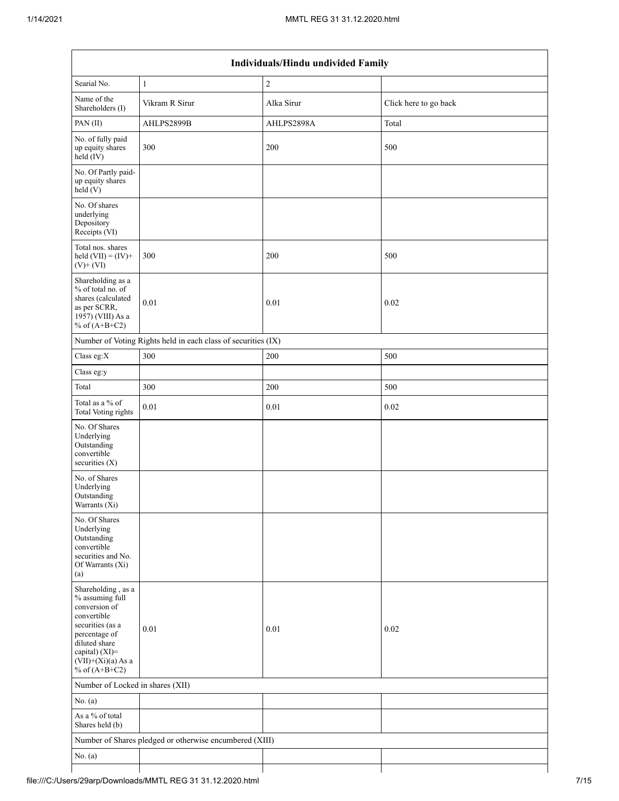| Individuals/Hindu undivided Family                                                                                                                                                       |                                                               |            |                       |  |  |  |  |  |
|------------------------------------------------------------------------------------------------------------------------------------------------------------------------------------------|---------------------------------------------------------------|------------|-----------------------|--|--|--|--|--|
| Searial No.                                                                                                                                                                              | $\mathbf{1}$                                                  | $\sqrt{2}$ |                       |  |  |  |  |  |
| Name of the<br>Shareholders (I)                                                                                                                                                          | Vikram R Sirur                                                | Alka Sirur | Click here to go back |  |  |  |  |  |
| PAN(II)                                                                                                                                                                                  | AHLPS2899B                                                    | AHLPS2898A | Total                 |  |  |  |  |  |
| No. of fully paid<br>up equity shares<br>$held$ (IV)                                                                                                                                     | 300                                                           | 200        | 500                   |  |  |  |  |  |
| No. Of Partly paid-<br>up equity shares<br>held(V)                                                                                                                                       |                                                               |            |                       |  |  |  |  |  |
| No. Of shares<br>underlying<br>Depository<br>Receipts (VI)                                                                                                                               |                                                               |            |                       |  |  |  |  |  |
| Total nos. shares<br>held $(VII) = (IV) +$<br>$(V)$ + $(VI)$                                                                                                                             | 300                                                           | 200        | 500                   |  |  |  |  |  |
| Shareholding as a<br>% of total no. of<br>shares (calculated<br>as per SCRR,<br>1957) (VIII) As a<br>% of $(A+B+C2)$                                                                     | 0.01                                                          | 0.01       | 0.02                  |  |  |  |  |  |
|                                                                                                                                                                                          | Number of Voting Rights held in each class of securities (IX) |            |                       |  |  |  |  |  |
| Class eg:X                                                                                                                                                                               | 300                                                           | 200        | 500                   |  |  |  |  |  |
| Class eg:y                                                                                                                                                                               |                                                               |            |                       |  |  |  |  |  |
| Total                                                                                                                                                                                    | 300                                                           | 200        | 500                   |  |  |  |  |  |
| Total as a % of<br><b>Total Voting rights</b>                                                                                                                                            | 0.01                                                          | $0.01\,$   | 0.02                  |  |  |  |  |  |
| No. Of Shares<br>Underlying<br>Outstanding<br>convertible<br>securities (X)                                                                                                              |                                                               |            |                       |  |  |  |  |  |
| No. of Shares<br>Underlying<br>Outstanding<br>Warrants (Xi)                                                                                                                              |                                                               |            |                       |  |  |  |  |  |
| No. Of Shares<br>Underlying<br>Outstanding<br>convertible<br>securities and No.<br>Of Warrants (Xi)<br>(a)                                                                               |                                                               |            |                       |  |  |  |  |  |
| Shareholding, as a<br>% assuming full<br>conversion of<br>convertible<br>securities (as a<br>percentage of<br>diluted share<br>capital) (XI)=<br>$(VII)+(Xi)(a)$ As a<br>% of $(A+B+C2)$ | 0.01                                                          | 0.01       | 0.02                  |  |  |  |  |  |
| Number of Locked in shares (XII)                                                                                                                                                         |                                                               |            |                       |  |  |  |  |  |
| No. $(a)$                                                                                                                                                                                |                                                               |            |                       |  |  |  |  |  |
| As a % of total<br>Shares held (b)                                                                                                                                                       |                                                               |            |                       |  |  |  |  |  |
|                                                                                                                                                                                          | Number of Shares pledged or otherwise encumbered (XIII)       |            |                       |  |  |  |  |  |
| No. $(a)$                                                                                                                                                                                |                                                               |            |                       |  |  |  |  |  |
|                                                                                                                                                                                          |                                                               |            |                       |  |  |  |  |  |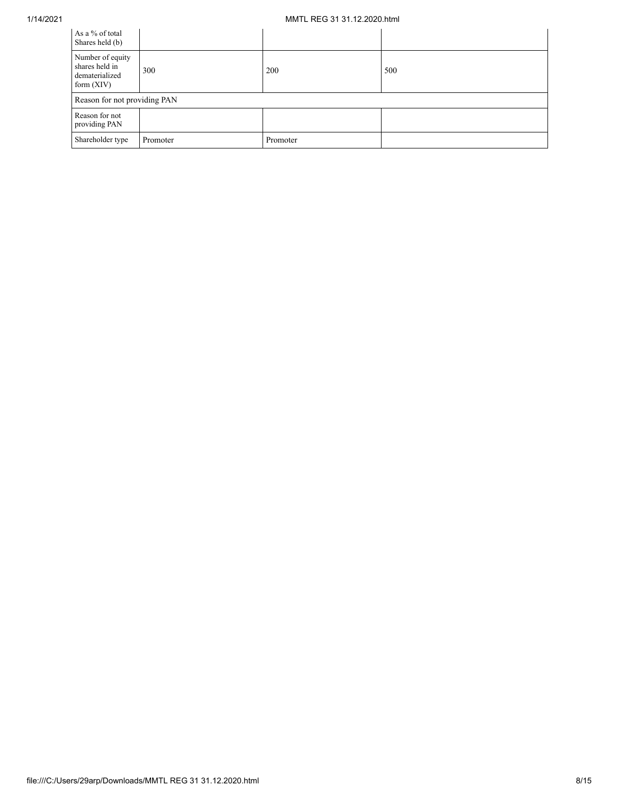## 1/14/2021 MMTL REG 31 31.12.2020.html

| As a % of total<br>Shares held (b)                                   |          |          |     |
|----------------------------------------------------------------------|----------|----------|-----|
| Number of equity<br>shares held in<br>dematerialized<br>form $(XIV)$ | 300      | 200      | 500 |
| Reason for not providing PAN                                         |          |          |     |
| Reason for not<br>providing PAN                                      |          |          |     |
| Shareholder type                                                     | Promoter | Promoter |     |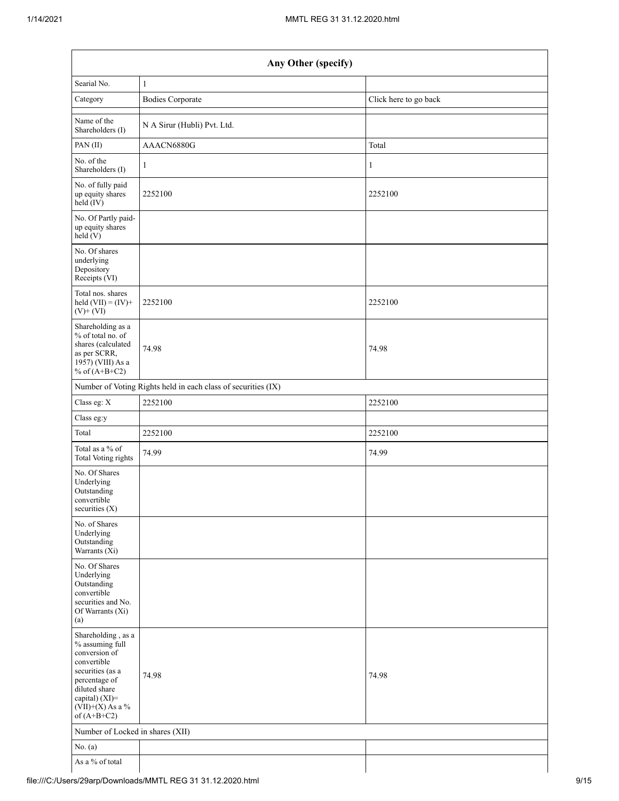|                                                                                                                                                                                      | Any Other (specify)                                           |                       |  |  |  |  |  |  |
|--------------------------------------------------------------------------------------------------------------------------------------------------------------------------------------|---------------------------------------------------------------|-----------------------|--|--|--|--|--|--|
| Searial No.                                                                                                                                                                          | $\mathbf{1}$                                                  |                       |  |  |  |  |  |  |
| Category                                                                                                                                                                             | <b>Bodies Corporate</b>                                       | Click here to go back |  |  |  |  |  |  |
| Name of the<br>Shareholders (I)                                                                                                                                                      | N A Sirur (Hubli) Pvt. Ltd.                                   |                       |  |  |  |  |  |  |
| PAN (II)                                                                                                                                                                             | AAACN6880G                                                    | Total                 |  |  |  |  |  |  |
| No. of the<br>Shareholders (I)                                                                                                                                                       | $\mathbf{1}$                                                  | 1                     |  |  |  |  |  |  |
| No. of fully paid<br>up equity shares<br>held (IV)                                                                                                                                   | 2252100                                                       | 2252100               |  |  |  |  |  |  |
| No. Of Partly paid-<br>up equity shares<br>held(V)                                                                                                                                   |                                                               |                       |  |  |  |  |  |  |
| No. Of shares<br>underlying<br>Depository<br>Receipts (VI)                                                                                                                           |                                                               |                       |  |  |  |  |  |  |
| Total nos. shares<br>held $(VII) = (IV) +$<br>$(V)$ + $(VI)$                                                                                                                         | 2252100                                                       | 2252100               |  |  |  |  |  |  |
| Shareholding as a<br>% of total no. of<br>shares (calculated<br>as per SCRR,<br>1957) (VIII) As a<br>% of $(A+B+C2)$                                                                 | 74.98                                                         | 74.98                 |  |  |  |  |  |  |
|                                                                                                                                                                                      | Number of Voting Rights held in each class of securities (IX) |                       |  |  |  |  |  |  |
| Class eg: X                                                                                                                                                                          | 2252100                                                       | 2252100               |  |  |  |  |  |  |
| Class eg:y                                                                                                                                                                           |                                                               |                       |  |  |  |  |  |  |
| Total                                                                                                                                                                                | 2252100                                                       | 2252100               |  |  |  |  |  |  |
| Total as a % of<br>Total Voting rights                                                                                                                                               | 74.99                                                         | 74.99                 |  |  |  |  |  |  |
| No. Of Shares<br>Underlying<br>Outstanding<br>convertible<br>securities (X)                                                                                                          |                                                               |                       |  |  |  |  |  |  |
| No. of Shares<br>Underlying<br>Outstanding<br>Warrants $(X_i)$                                                                                                                       |                                                               |                       |  |  |  |  |  |  |
| No. Of Shares<br>Underlying<br>Outstanding<br>convertible<br>securities and No.<br>Of Warrants (Xi)<br>(a)                                                                           |                                                               |                       |  |  |  |  |  |  |
| Shareholding, as a<br>% assuming full<br>conversion of<br>convertible<br>securities (as a<br>percentage of<br>diluted share<br>capital) (XI)=<br>$(VII)+(X)$ As a %<br>of $(A+B+C2)$ | 74.98                                                         | 74.98                 |  |  |  |  |  |  |
| Number of Locked in shares (XII)                                                                                                                                                     |                                                               |                       |  |  |  |  |  |  |
| No. $(a)$                                                                                                                                                                            |                                                               |                       |  |  |  |  |  |  |
| As a % of total                                                                                                                                                                      |                                                               |                       |  |  |  |  |  |  |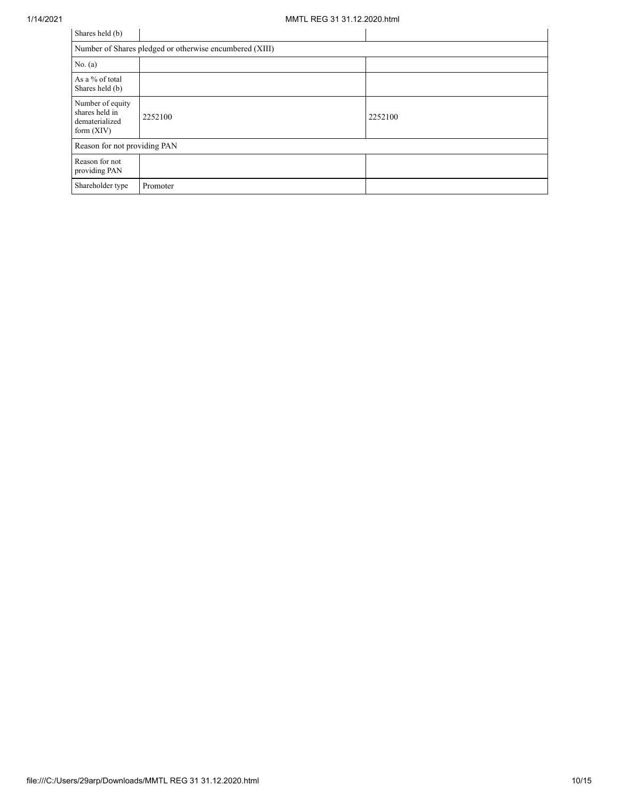| Shares held (b)                                                      |          |         |  |  |  |  |  |
|----------------------------------------------------------------------|----------|---------|--|--|--|--|--|
| Number of Shares pledged or otherwise encumbered (XIII)              |          |         |  |  |  |  |  |
| No. $(a)$                                                            |          |         |  |  |  |  |  |
| As a % of total<br>Shares held (b)                                   |          |         |  |  |  |  |  |
| Number of equity<br>shares held in<br>dematerialized<br>form $(XIV)$ | 2252100  | 2252100 |  |  |  |  |  |
| Reason for not providing PAN                                         |          |         |  |  |  |  |  |
| Reason for not<br>providing PAN                                      |          |         |  |  |  |  |  |
| Shareholder type                                                     | Promoter |         |  |  |  |  |  |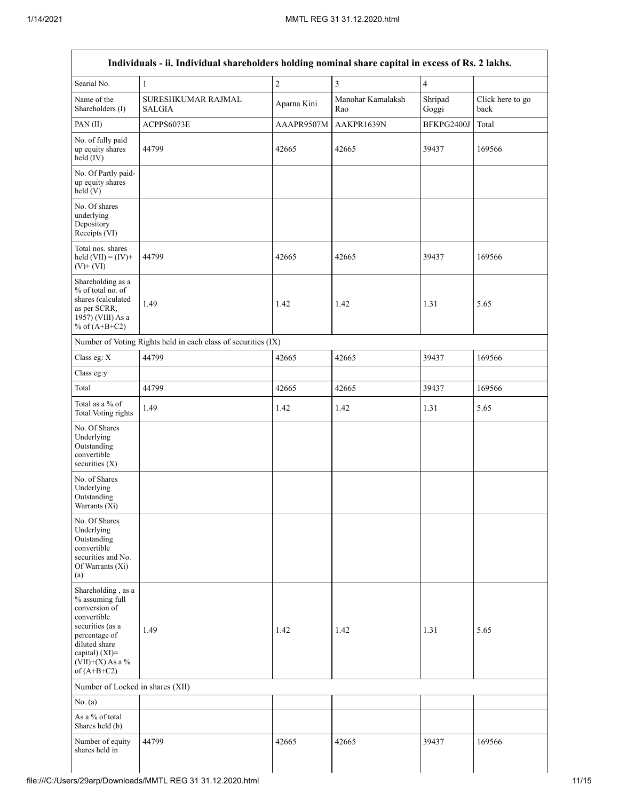| Searial No.                                                                                                                                                                          | $\mathbf{1}$                                                  | $\overline{c}$ | $\overline{\mathbf{3}}$  | $\overline{\mathbf{4}}$ |                          |
|--------------------------------------------------------------------------------------------------------------------------------------------------------------------------------------|---------------------------------------------------------------|----------------|--------------------------|-------------------------|--------------------------|
| Name of the<br>Shareholders (I)                                                                                                                                                      | SURESHKUMAR RAJMAL<br><b>SALGIA</b>                           | Aparna Kini    | Manohar Kamalaksh<br>Rao | Shripad<br>Goggi        | Click here to go<br>back |
| PAN (II)                                                                                                                                                                             | ACPPS6073E                                                    | AAAPR9507M     | AAKPR1639N               | BFKPG2400J              | Total                    |
| No. of fully paid<br>up equity shares<br>$held$ (IV)                                                                                                                                 | 44799                                                         | 42665          | 42665                    | 39437                   | 169566                   |
| No. Of Partly paid-<br>up equity shares<br>held(V)                                                                                                                                   |                                                               |                |                          |                         |                          |
| No. Of shares<br>underlying<br>Depository<br>Receipts (VI)                                                                                                                           |                                                               |                |                          |                         |                          |
| Total nos. shares<br>held $(VII) = (IV) +$<br>$(V)$ + $(VI)$                                                                                                                         | 44799                                                         | 42665          | 42665                    | 39437                   | 169566                   |
| Shareholding as a<br>% of total no. of<br>shares (calculated<br>as per SCRR,<br>1957) (VIII) As a<br>% of $(A+B+C2)$                                                                 | 1.49                                                          | 1.42           | 1.42                     | 1.31                    | 5.65                     |
|                                                                                                                                                                                      | Number of Voting Rights held in each class of securities (IX) |                |                          |                         |                          |
| Class eg: X                                                                                                                                                                          | 44799                                                         | 42665          | 42665                    | 39437                   | 169566                   |
| Class eg:y                                                                                                                                                                           |                                                               |                |                          |                         |                          |
| Total                                                                                                                                                                                | 44799                                                         | 42665          | 42665                    | 39437                   | 169566                   |
| Total as a % of<br>Total Voting rights                                                                                                                                               | 1.49                                                          | 1.42           | 1.42                     | 1.31                    | 5.65                     |
| No. Of Shares<br>Underlying<br>Outstanding<br>convertible<br>securities $(X)$                                                                                                        |                                                               |                |                          |                         |                          |
| No. of Shares<br>Underlying<br>Outstanding<br>Warrants (Xi)                                                                                                                          |                                                               |                |                          |                         |                          |
| No. Of Shares<br>Underlying<br>Outstanding<br>convertible<br>securities and No.<br>Of Warrants (Xi)<br>(a)                                                                           |                                                               |                |                          |                         |                          |
| Shareholding, as a<br>% assuming full<br>conversion of<br>convertible<br>securities (as a<br>percentage of<br>diluted share<br>capital) (XI)=<br>$(VII)+(X)$ As a %<br>of $(A+B+C2)$ | 1.49                                                          | 1.42           | 1.42                     | 1.31                    | 5.65                     |
| Number of Locked in shares (XII)                                                                                                                                                     |                                                               |                |                          |                         |                          |
| No. $(a)$                                                                                                                                                                            |                                                               |                |                          |                         |                          |
| As a % of total<br>Shares held (b)                                                                                                                                                   |                                                               |                |                          |                         |                          |
| Number of equity<br>shares held in                                                                                                                                                   | 44799                                                         | 42665          | 42665                    | 39437                   | 169566                   |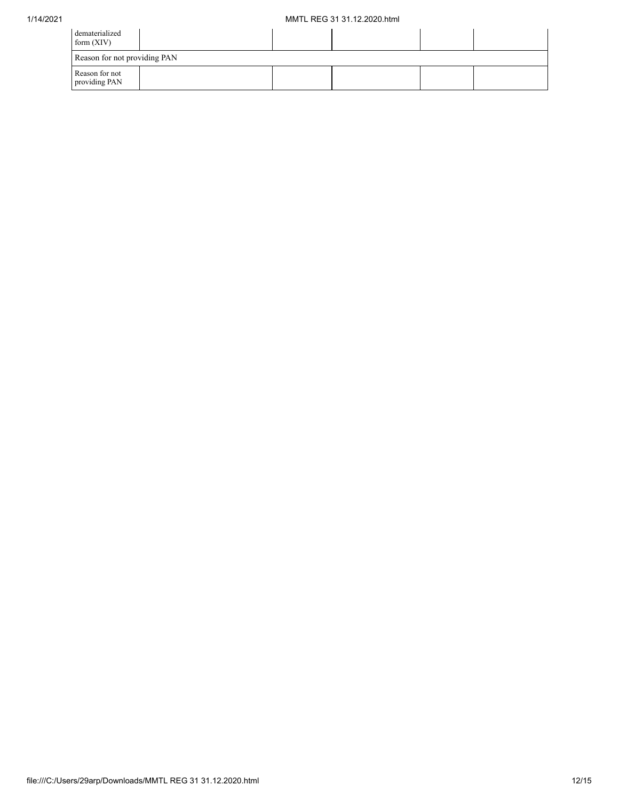| dematerialized<br>form $(XIV)$  |  |  |  |
|---------------------------------|--|--|--|
| Reason for not providing PAN    |  |  |  |
| Reason for not<br>providing PAN |  |  |  |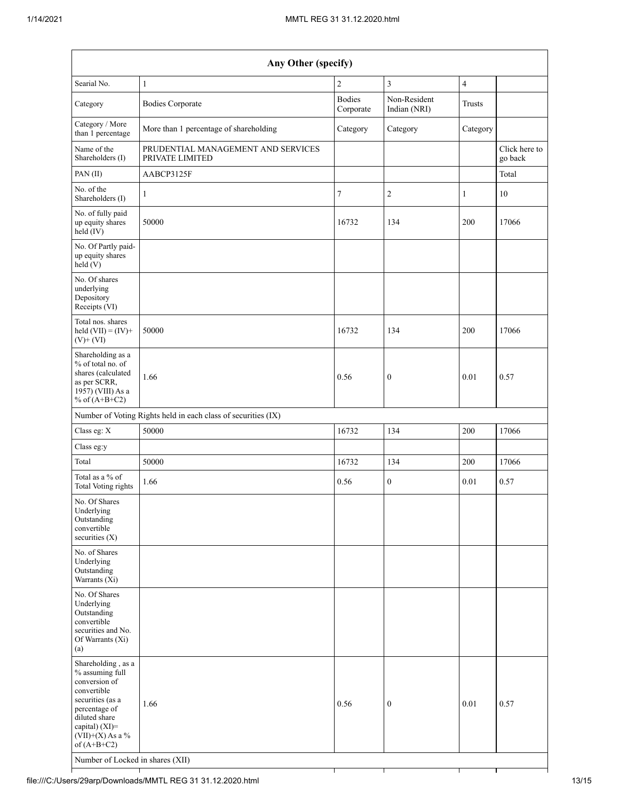| Any Other (specify)                                                                                                                                                                  |                                                       |                            |                              |                         |                          |  |  |  |  |
|--------------------------------------------------------------------------------------------------------------------------------------------------------------------------------------|-------------------------------------------------------|----------------------------|------------------------------|-------------------------|--------------------------|--|--|--|--|
| Searial No.                                                                                                                                                                          | $\mathbf{1}$                                          | $\sqrt{2}$                 | $\overline{\mathbf{3}}$      | $\overline{\mathbf{4}}$ |                          |  |  |  |  |
| Category                                                                                                                                                                             | <b>Bodies Corporate</b>                               | <b>Bodies</b><br>Corporate | Non-Resident<br>Indian (NRI) | Trusts                  |                          |  |  |  |  |
| Category / More<br>than 1 percentage                                                                                                                                                 | More than 1 percentage of shareholding                | Category                   | Category                     | Category                |                          |  |  |  |  |
| Name of the<br>Shareholders (I)                                                                                                                                                      | PRUDENTIAL MANAGEMENT AND SERVICES<br>PRIVATE LIMITED |                            |                              |                         | Click here to<br>go back |  |  |  |  |
| PAN (II)                                                                                                                                                                             | AABCP3125F                                            |                            |                              |                         | Total                    |  |  |  |  |
| No. of the<br>Shareholders (I)                                                                                                                                                       | 1                                                     | $\tau$                     | $\sqrt{2}$                   | $\mathbf{1}$            | 10                       |  |  |  |  |
| No. of fully paid<br>up equity shares<br>held (IV)                                                                                                                                   | 50000                                                 | 16732                      | 134                          | 200                     | 17066                    |  |  |  |  |
| No. Of Partly paid-<br>up equity shares<br>held (V)                                                                                                                                  |                                                       |                            |                              |                         |                          |  |  |  |  |
| No. Of shares<br>underlying<br>Depository<br>Receipts (VI)                                                                                                                           |                                                       |                            |                              |                         |                          |  |  |  |  |
| Total nos. shares<br>held $(VII) = (IV) +$<br>$(V)$ + $(VI)$                                                                                                                         | 50000                                                 | 16732                      | 134                          | 200                     | 17066                    |  |  |  |  |
| Shareholding as a<br>% of total no. of<br>shares (calculated<br>as per SCRR,<br>1957) (VIII) As a<br>% of $(A+B+C2)$                                                                 | 1.66                                                  | 0.56                       | $\boldsymbol{0}$             | 0.01                    | 0.57                     |  |  |  |  |
| Number of Voting Rights held in each class of securities (IX)                                                                                                                        |                                                       |                            |                              |                         |                          |  |  |  |  |
| Class eg: X                                                                                                                                                                          | 50000                                                 | 16732                      | 134                          | 200                     | 17066                    |  |  |  |  |
| Class eg:y                                                                                                                                                                           |                                                       |                            |                              |                         |                          |  |  |  |  |
| Total                                                                                                                                                                                | 50000                                                 | 16732                      | 134                          | 200                     | 17066                    |  |  |  |  |
| Total as a % of<br><b>Total Voting rights</b>                                                                                                                                        | 1.66                                                  | 0.56                       | $\boldsymbol{0}$             | 0.01                    | 0.57                     |  |  |  |  |
| No. Of Shares<br>Underlying<br>Outstanding<br>convertible<br>securities $(X)$                                                                                                        |                                                       |                            |                              |                         |                          |  |  |  |  |
| No. of Shares<br>Underlying<br>Outstanding<br>Warrants (Xi)                                                                                                                          |                                                       |                            |                              |                         |                          |  |  |  |  |
| No. Of Shares<br>Underlying<br>Outstanding<br>convertible<br>securities and No.<br>Of Warrants (Xi)<br>(a)                                                                           |                                                       |                            |                              |                         |                          |  |  |  |  |
| Shareholding, as a<br>% assuming full<br>conversion of<br>convertible<br>securities (as a<br>percentage of<br>diluted share<br>capital) (XI)=<br>$(VII)+(X)$ As a %<br>of $(A+B+C2)$ | 1.66                                                  | 0.56                       | $\boldsymbol{0}$             | 0.01                    | 0.57                     |  |  |  |  |
| Number of Locked in shares (XII)                                                                                                                                                     |                                                       |                            |                              |                         |                          |  |  |  |  |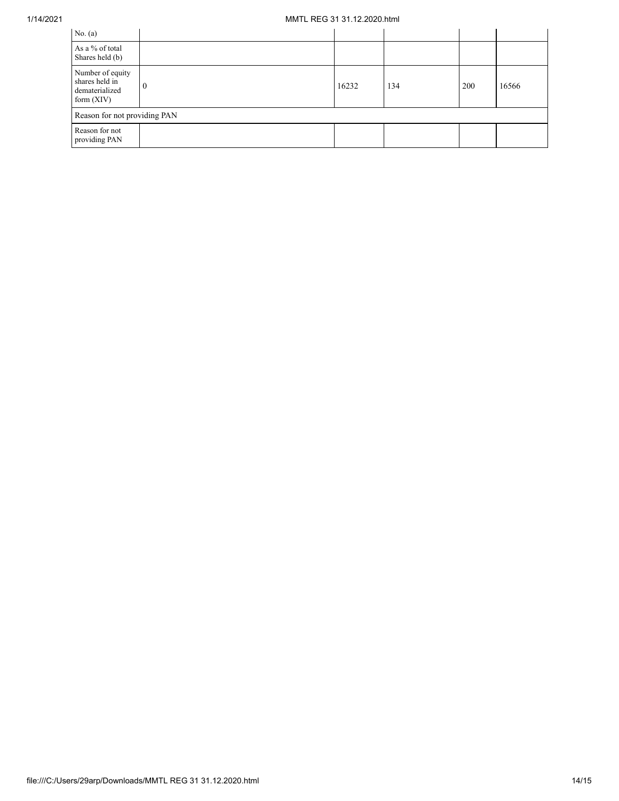| No. (a)                                                              |          |       |     |     |       |  |  |  |
|----------------------------------------------------------------------|----------|-------|-----|-----|-------|--|--|--|
| As a % of total<br>Shares held (b)                                   |          |       |     |     |       |  |  |  |
| Number of equity<br>shares held in<br>dematerialized<br>form $(XIV)$ | $\theta$ | 16232 | 134 | 200 | 16566 |  |  |  |
| Reason for not providing PAN                                         |          |       |     |     |       |  |  |  |
| Reason for not<br>providing PAN                                      |          |       |     |     |       |  |  |  |